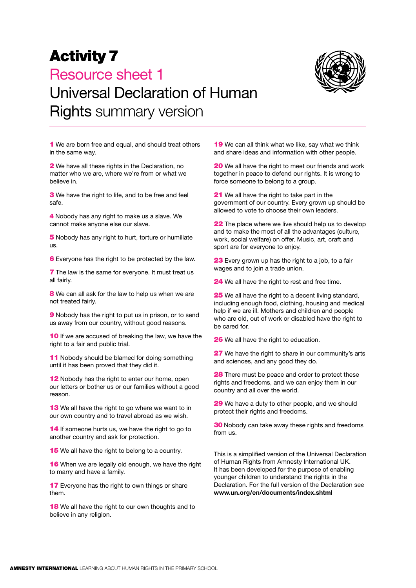## Activity 7 Resource sheet 1 Universal Declaration of Human Rights summary version



**1** We are born free and equal, and should treat others in the same way.

2 We have all these rights in the Declaration, no matter who we are, where we're from or what we believe in.

**3** We have the right to life, and to be free and feel safe.

4 Nobody has any right to make us a slave. We cannot make anyone else our slave.

5 Nobody has any right to hurt, torture or humiliate us.

6 Everyone has the right to be protected by the law.

**7** The law is the same for everyone. It must treat us all fairly.

8 We can all ask for the law to help us when we are not treated fairly.

**9** Nobody has the right to put us in prison, or to send us away from our country, without good reasons.

10 If we are accused of breaking the law, we have the right to a fair and public trial.

11 Nobody should be blamed for doing something until it has been proved that they did it.

12 Nobody has the right to enter our home, open our letters or bother us or our families without a good reason.

13 We all have the right to go where we want to in our own country and to travel abroad as we wish.

14 If someone hurts us, we have the right to go to another country and ask for protection.

**15** We all have the right to belong to a country.

**16** When we are legally old enough, we have the right to marry and have a family.

**17** Everyone has the right to own things or share them.

18 We all have the right to our own thoughts and to believe in any religion.

19 We can all think what we like, say what we think and share ideas and information with other people.

**20** We all have the right to meet our friends and work together in peace to defend our rights. It is wrong to force someone to belong to a group.

21 We all have the right to take part in the government of our country. Every grown up should be allowed to vote to choose their own leaders.

22 The place where we live should help us to develop and to make the most of all the advantages (culture, work, social welfare) on offer. Music, art, craft and sport are for everyone to enjoy.

23 Every grown up has the right to a job, to a fair wages and to join a trade union.

24 We all have the right to rest and free time.

25 We all have the right to a decent living standard, including enough food, clothing, housing and medical help if we are ill. Mothers and children and people who are old, out of work or disabled have the right to be cared for.

26 We all have the right to education.

**27** We have the right to share in our community's arts and sciences, and any good they do.

**28** There must be peace and order to protect these rights and freedoms, and we can enjoy them in our country and all over the world.

29 We have a duty to other people, and we should protect their rights and freedoms.

**30** Nobody can take away these rights and freedoms from us.

This is a simplified version of the Universal Declaration of Human Rights from Amnesty International UK. It has been developed for the purpose of enabling younger children to understand the rights in the Declaration. For the full version of the Declaration see **www.un.org/en/documents/index.shtml**